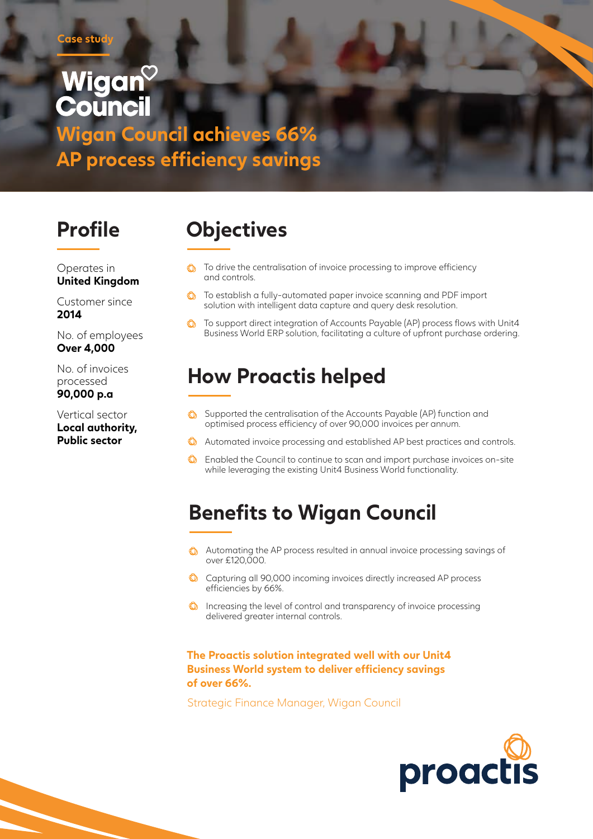# Wigan **Council**

**Wigan Council achieves 66% AP process efficiency savings**

Operates in **United Kingdom**

Customer since **2014**

No. of employees **Over 4,000**

No. of invoices processed **90,000 p.a**

Vertical sector **Local authority, Public sector**

# **Profile Objectives**

- $\bigcirc$  To drive the centralisation of invoice processing to improve efficiency and controls.
- **C** To establish a fully-automated paper invoice scanning and PDF import solution with intelligent data capture and query desk resolution.
- $\circledcirc$ To support direct integration of Accounts Payable (AP) process flows with Unit4 Business World ERP solution, facilitating a culture of upfront purchase ordering.

### **How Proactis helped**

- **C** Supported the centralisation of the Accounts Payable (AP) function and optimised process efficiency of over 90,000 invoices per annum.
- Automated invoice processing and established AP best practices and controls.
- **C** Enabled the Council to continue to scan and import purchase invoices on-site while leveraging the existing Unit4 Business World functionality.

## **Benefits to Wigan Council**

- Automating the AP process resulted in annual invoice processing savings of over £120,000.
- Capturing all 90,000 incoming invoices directly increased AP process efficiencies by 66%.
- $\bigcirc$  Increasing the level of control and transparency of invoice processing delivered greater internal controls.

### **The Proactis solution integrated well with our Unit4 Business World system to deliver efficiency savings of over 66%.**

Strategic Finance Manager, Wigan Council